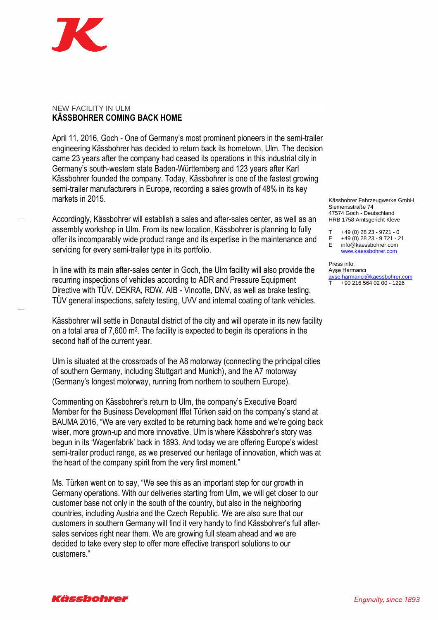

## NEW FACILITY IN ULM **KÄSSBOHRER COMING BACK HOME**

April 11, 2016, Goch - One of Germany's most prominent pioneers in the semi-trailer engineering Kässbohrer has decided to return back its hometown, Ulm. The decision came 23 years after the company had ceased its operations in this industrial city in Germany's south-western state Baden-Württemberg and 123 years after Karl Kässbohrer founded the company. Today, Kässbohrer is one of the fastest growing semi-trailer manufacturers in Europe, recording a sales growth of 48% in its key markets in 2015.

Accordingly, Kässbohrer will establish a sales and after-sales center, as well as an assembly workshop in Ulm. From its new location, Kässbohrer is planning to fully offer its incomparably wide product range and its expertise in the maintenance and servicing for every semi-trailer type in its portfolio.

In line with its main after-sales center in Goch, the Ulm facility will also provide the recurring inspections of vehicles according to ADR and Pressure Equipment Directive with TÜV, DEKRA, RDW, AIB - Vincotte, DNV, as well as brake testing, TÜV general inspections, safety testing, UVV and internal coating of tank vehicles.

Kässbohrer will settle in Donautal district of the city and will operate in its new facility on a total area of 7,600 m<sup>2</sup> . The facility is expected to begin its operations in the second half of the current year.

Ulm is situated at the crossroads of the A8 motorway (connecting the principal cities of southern Germany, including Stuttgart and Munich), and the A7 motorway (Germany's longest motorway, running from northern to southern Europe).

Commenting on Kässbohrer's return to Ulm, the company's Executive Board Member for the Business Development Iffet Türken said on the company's stand at BAUMA 2016, "We are very excited to be returning back home and we're going back wiser, more grown-up and more innovative. Ulm is where Kässbohrer's story was begun in its 'Wagenfabrik' back in 1893. And today we are offering Europe's widest semi-trailer product range, as we preserved our heritage of innovation, which was at the heart of the company spirit from the very first moment."

Ms. Türken went on to say, "We see this as an important step for our growth in Germany operations. With our deliveries starting from Ulm, we will get closer to our customer base not only in the south of the country, but also in the neighboring countries, including Austria and the Czech Republic. We are also sure that our customers in southern Germany will find it very handy to find Kässbohrer's full aftersales services right near them. We are growing full steam ahead and we are decided to take every step to offer more effective transport solutions to our customers."

Kässbohrer Fahrzeugwerke GmbH Siemensstraße 74 47574 Goch - Deutschland HRB 1758 Amtsgericht Kleve

T +49 (0) 28 23 - 9721 - 0

F +49 (0) 28 23 - 9 721 - 21

E info@kaessbohrer.com [www.kaessbohrer.com](http://www.kaessbohrer.com/)

Press info: Ayşe Harmancı [ayse.harmanci@kaessbohrer.com](mailto:ayse.harmanci@kaessbohrer.com) T +90 216 564 02 00 - 1226